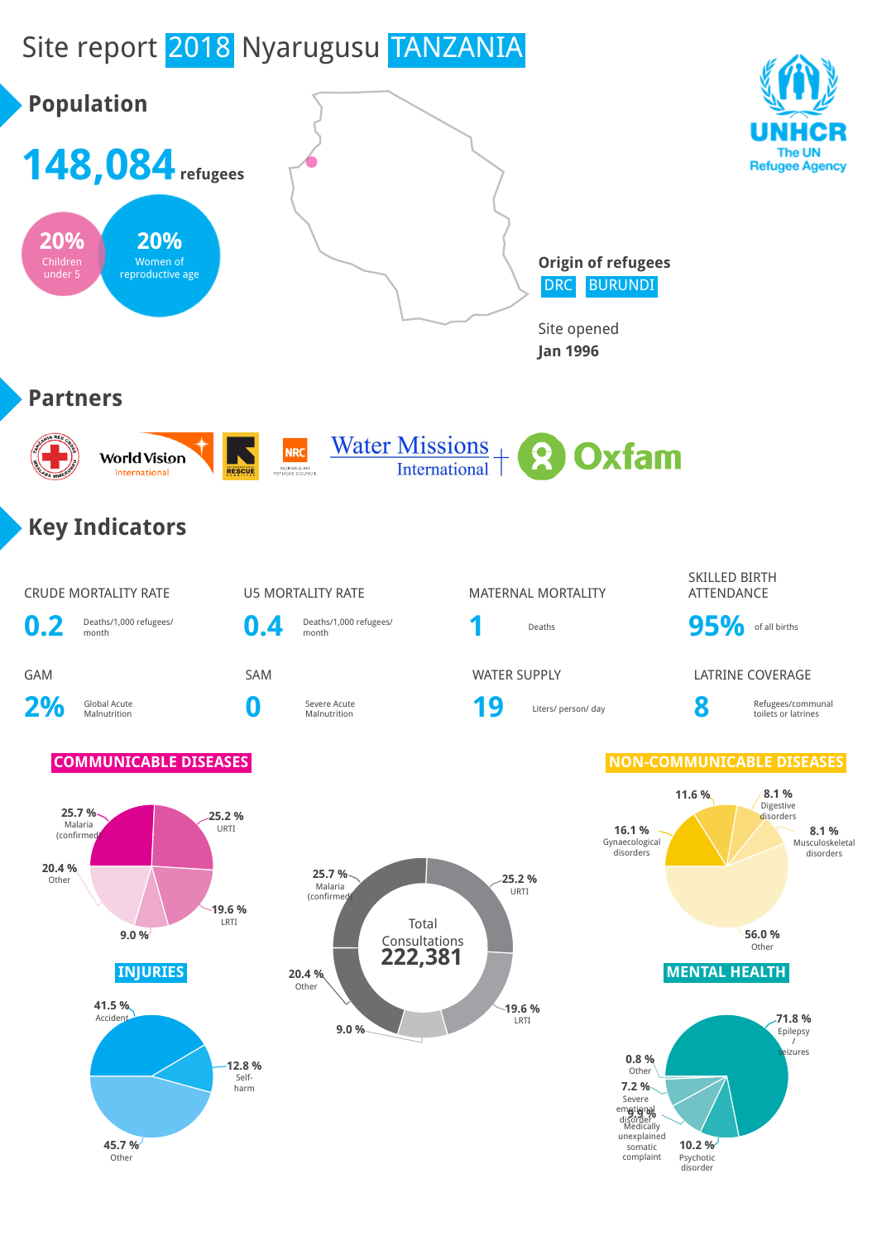# Site report 2018 Nyarugusu TANZANIA

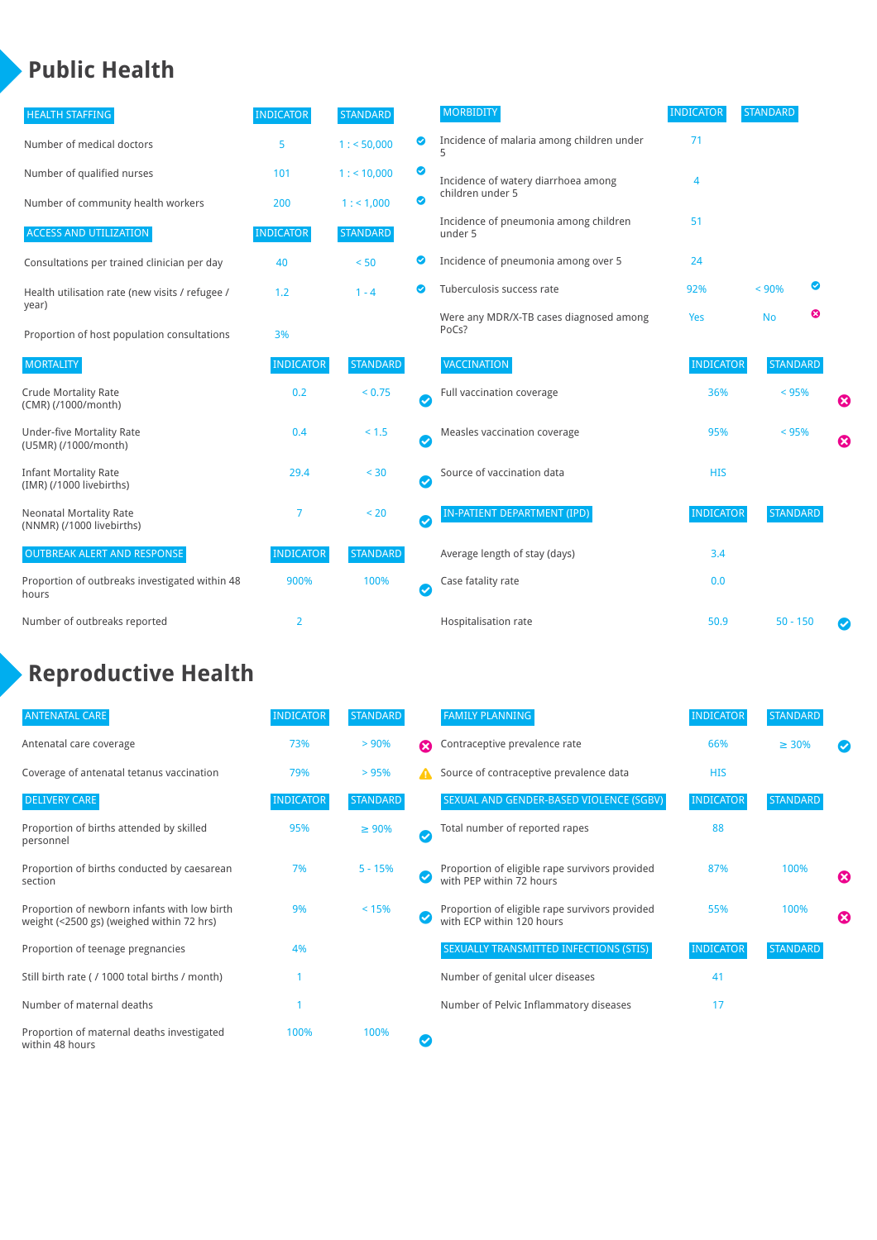# **Public Health**

| <b>HEALTH STAFFING</b>                                      | <b>INDICATOR</b> | <b>STANDARD</b> |           | <b>MORBIDITY</b>                                 | <b>INDICATOR</b> | <b>STANDARD</b> |   |   |
|-------------------------------------------------------------|------------------|-----------------|-----------|--------------------------------------------------|------------------|-----------------|---|---|
| Number of medical doctors                                   | 5                | 1: 50,000       | ◉         | Incidence of malaria among children under<br>5   | 71               |                 |   |   |
| Number of qualified nurses                                  | 101              | 1:10,000        | ◙         | Incidence of watery diarrhoea among              | 4                |                 |   |   |
| Number of community health workers                          | 200              | 1: 1,000        | ◙         | children under 5                                 |                  |                 |   |   |
| <b>ACCESS AND UTILIZATION</b>                               | <b>INDICATOR</b> | <b>STANDARD</b> |           | Incidence of pneumonia among children<br>under 5 | 51               |                 |   |   |
| Consultations per trained clinician per day                 | 40               | < 50            | ◙         | Incidence of pneumonia among over 5              | 24               |                 |   |   |
| Health utilisation rate (new visits / refugee /             | 1.2              | $1 - 4$         | Ø         | Tuberculosis success rate                        | 92%              | < 90%           | ◙ |   |
| year)<br>Proportion of host population consultations        | 3%               |                 |           | Were any MDR/X-TB cases diagnosed among<br>PoCs? | Yes              | <b>No</b>       | ☺ |   |
| <b>MORTALITY</b>                                            | <b>INDICATOR</b> | <b>STANDARD</b> |           | <b>VACCINATION</b>                               | <b>INDICATOR</b> | <b>STANDARD</b> |   |   |
| <b>Crude Mortality Rate</b><br>(CMR) (/1000/month)          | 0.2              | < 0.75          | $\bullet$ | Full vaccination coverage                        | 36%              | < 95%           |   | € |
| <b>Under-five Mortality Rate</b><br>(U5MR) (/1000/month)    | 0.4              | < 1.5           | Ø         | Measles vaccination coverage                     | 95%              | < 95%           |   | 0 |
| <b>Infant Mortality Rate</b><br>(IMR) (/1000 livebirths)    | 29.4             | < 30            | Ø         | Source of vaccination data                       | <b>HIS</b>       |                 |   |   |
| <b>Neonatal Mortality Rate</b><br>(NNMR) (/1000 livebirths) | 7                | < 20            | $\bullet$ | <b>IN-PATIENT DEPARTMENT (IPD)</b>               | <b>INDICATOR</b> | <b>STANDARD</b> |   |   |
| <b>OUTBREAK ALERT AND RESPONSE</b>                          | <b>INDICATOR</b> | <b>STANDARD</b> |           | Average length of stay (days)                    | 3.4              |                 |   |   |
| Proportion of outbreaks investigated within 48<br>hours     | 900%             | 100%            | Ø         | Case fatality rate                               | 0.0              |                 |   |   |
| Number of outbreaks reported                                | 2                |                 |           | Hospitalisation rate                             | 50.9             | $50 - 150$      |   | Ø |

## **Reproductive Health**

| <b>ANTENATAL CARE</b>                                                                     | <b>INDICATOR</b> | <b>STANDARD</b> |              | <b>FAMILY PLANNING</b>                                                      | <b>INDICATOR</b> | <b>STANDARD</b> |   |
|-------------------------------------------------------------------------------------------|------------------|-----------------|--------------|-----------------------------------------------------------------------------|------------------|-----------------|---|
| Antenatal care coverage                                                                   | 73%              | > 90%           | Ω            | Contraceptive prevalence rate                                               | 66%              | $\geq 30\%$     |   |
| Coverage of antenatal tetanus vaccination                                                 | 79%              | >95%            |              | Source of contraceptive prevalence data                                     | <b>HIS</b>       |                 |   |
| <b>DELIVERY CARE</b>                                                                      | <b>INDICATOR</b> | <b>STANDARD</b> |              | SEXUAL AND GENDER-BASED VIOLENCE (SGBV)                                     | <b>INDICATOR</b> | <b>STANDARD</b> |   |
| Proportion of births attended by skilled<br>personnel                                     | 95%              | $\geq 90\%$     | $\checkmark$ | Total number of reported rapes                                              | 88               |                 |   |
| Proportion of births conducted by caesarean<br>section                                    | 7%               | $5 - 15%$       |              | Proportion of eligible rape survivors provided<br>with PEP within 72 hours  | 87%              | 100%            | ೞ |
| Proportion of newborn infants with low birth<br>weight (<2500 gs) (weighed within 72 hrs) | 9%               | < 15%           |              | Proportion of eligible rape survivors provided<br>with ECP within 120 hours | 55%              | 100%            | Ø |
| Proportion of teenage pregnancies                                                         | 4%               |                 |              | SEXUALLY TRANSMITTED INFECTIONS (STIS)                                      | <b>INDICATOR</b> | <b>STANDARD</b> |   |
| Still birth rate (/ 1000 total births / month)                                            |                  |                 |              | Number of genital ulcer diseases                                            | 41               |                 |   |
| Number of maternal deaths                                                                 |                  |                 |              | Number of Pelvic Inflammatory diseases                                      | 17               |                 |   |
| Proportion of maternal deaths investigated<br>within 48 hours                             | 100%             | 100%            |              |                                                                             |                  |                 |   |